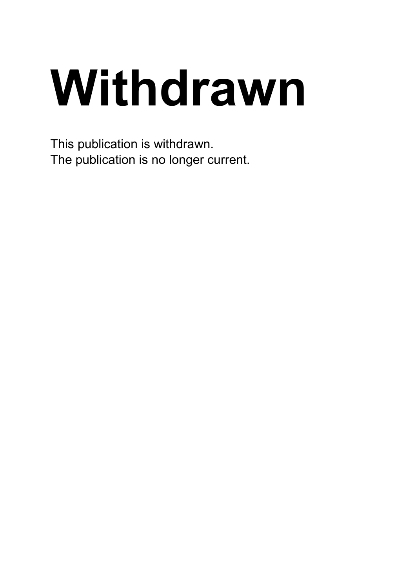# **Withdrawn**

This publication is withdrawn. The publication is no longer current.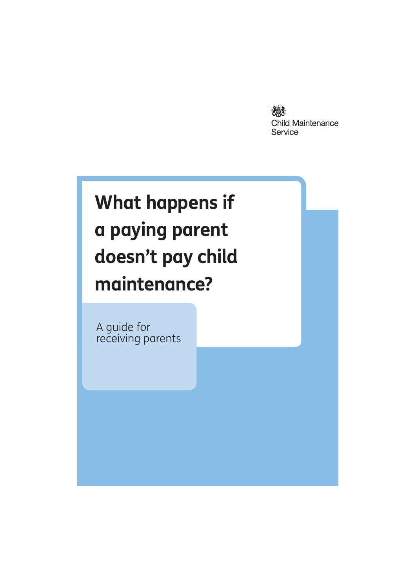

A guide for receiving parents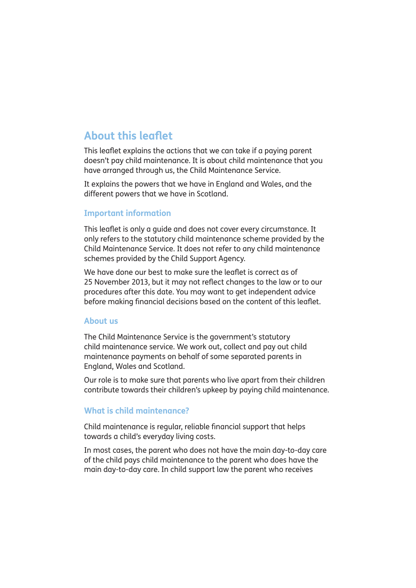# **About this leaflet**

This leaflet explains the actions that we can take if a paying parent doesn't pay child maintenance. It is about child maintenance that you have arranged through us, the Child Maintenance Service.

It explains the powers that we have in England and Wales, and the different powers that we have in Scotland.

#### **Important information**

This leaflet is only a guide and does not cover every circumstance. It only refers to the statutory child maintenance scheme provided by the Child Maintenance Service. It does not refer to any child maintenance schemes provided by the Child Support Agency.

We have done our best to make sure the leaflet is correct as of 25 November 2013, but it may not reflect changes to the law or to our procedures after this date. You may want to get independent advice before making financial decisions based on the content of this leaflet.

#### **About us**

The Child Maintenance Service is the government's statutory child maintenance service. We work out, collect and pay out child maintenance payments on behalf of some separated parents in England, Wales and Scotland.

Our role is to make sure that parents who live apart from their children contribute towards their children's upkeep by paying child maintenance.

#### **What is child maintenance?**

Child maintenance is regular, reliable financial support that helps towards a child's everyday living costs.

In most cases, the parent who does not have the main day-to-day care of the child pays child maintenance to the parent who does have the main day-to-day care. In child support law the parent who receives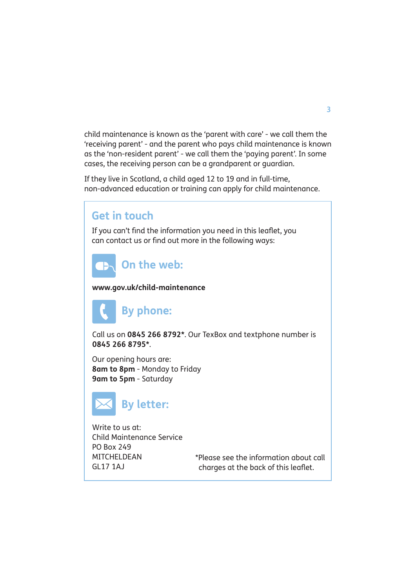child maintenance is known as the 'parent with care' - we call them the 'receiving parent' - and the parent who pays child maintenance is known as the 'non-resident parent' - we call them the 'paying parent'. In some cases, the receiving person can be a grandparent or guardian.

If they live in Scotland, a child aged 12 to 19 and in full-time, non-advanced education or training can apply for child maintenance.

# **Get in touch** If you can't find the information you need in this leaflet, you can contact us or find out more in the following ways: **On the web:** TĐ**www.gov.uk/child-maintenance By phone:**  Call us on **0845 266 8792\***. Our TexBox and textphone number is **0845 266 8795\***. Our opening hours are: **8am to 8pm** - Monday to Friday **9am to 5pm** - Saturday **By letter:**  Write to us at: Child Maintenance Service PO Box 249

\*Please see the information about call charges at the back of this leaflet.

MITCHELDEAN GL17 1AJ

**3**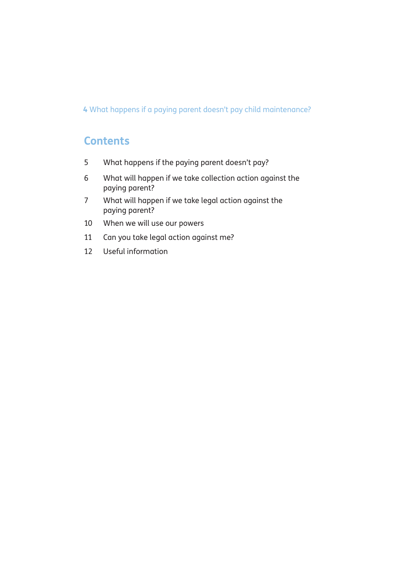# **Contents**

- 5 What happens if the paying parent doesn't pay?
- 6 What will happen if we take collection action against the paying parent?
- 7 What will happen if we take legal action against the paying parent?
- 10 When we will use our powers
- 11 Can you take legal action against me?
- 12 Useful information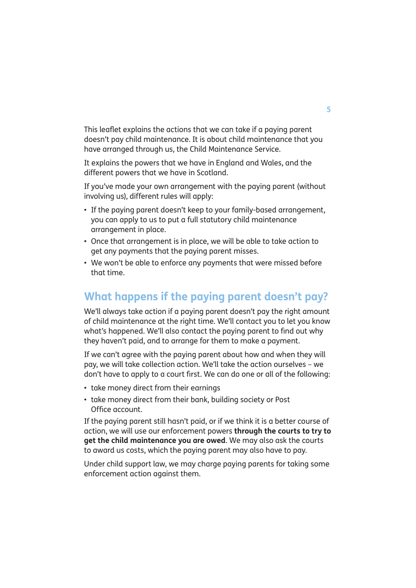This leaflet explains the actions that we can take if a paying parent doesn't pay child maintenance. It is about child maintenance that you have arranged through us, the Child Maintenance Service.

It explains the powers that we have in England and Wales, and the different powers that we have in Scotland.

If you've made your own arrangement with the paying parent (without involving us), different rules will apply:

- If the paying parent doesn't keep to your family-based arrangement, you can apply to us to put a full statutory child maintenance arrangement in place.
- Once that arrangement is in place, we will be able to take action to get any payments that the paying parent misses.
- We won't be able to enforce any payments that were missed before that time.

# **What happens if the paying parent doesn't pay?**

We'll always take action if a paying parent doesn't pay the right amount of child maintenance at the right time. We'll contact you to let you know what's happened. We'll also contact the paying parent to find out why they haven't paid, and to arrange for them to make a payment.

If we can't agree with the paying parent about how and when they will pay, we will take collection action. We'll take the action ourselves – we don't have to apply to a court first. We can do one or all of the following:

- take money direct from their earnings
- take money direct from their bank, building society or Post Office account.

If the paying parent still hasn't paid, or if we think it is a better course of action, we will use our enforcement powers **through the courts to try to get the child maintenance you are owed**. We may also ask the courts to award us costs, which the paying parent may also have to pay.

Under child support law, we may charge paying parents for taking some enforcement action against them.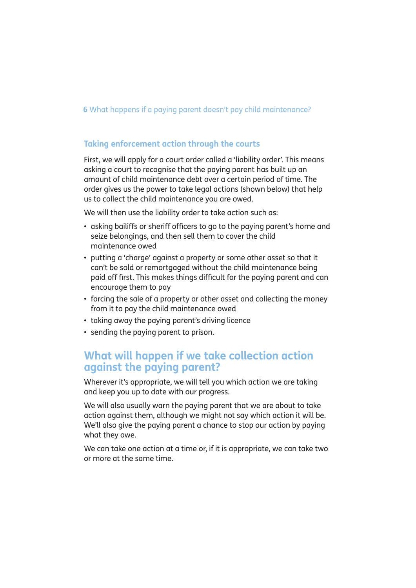#### **Taking enforcement action through the courts**

First, we will apply for a court order called a 'liability order'. This means asking a court to recognise that the paying parent has built up an amount of child maintenance debt over a certain period of time. The order gives us the power to take legal actions (shown below) that help us to collect the child maintenance you are owed.

We will then use the liability order to take action such as:

- asking bailiffs or sheriff officers to go to the paying parent's home and seize belongings, and then sell them to cover the child maintenance owed
- putting a 'charge' gaginst a property or some other asset so that it can't be sold or remortgaged without the child maintenance being paid off first. This makes things difficult for the paying parent and can encourage them to pay
- forcing the sale of a property or other asset and collecting the money from it to pay the child maintenance owed
- taking away the paying parent's driving licence
- sending the paying parent to prison.

## **What will happen if we take collection action against the paying parent?**

Wherever it's appropriate, we will tell you which action we are taking and keep you up to date with our progress.

We will also usually warn the paying parent that we are about to take action against them, although we might not say which action it will be. We'll also give the paying parent a chance to stop our action by paying what they owe.

We can take one action at a time or, if it is appropriate, we can take two or more at the same time.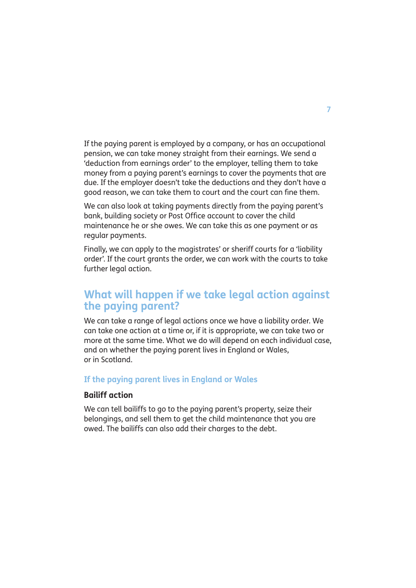If the paying parent is employed by a company, or has an occupational pension, we can take money straight from their earnings. We send a 'deduction from earnings order' to the employer, telling them to take money from a paying parent's earnings to cover the payments that are due. If the employer doesn't take the deductions and they don't have a good reason, we can take them to court and the court can fine them.

We can also look at taking payments directly from the paying parent's bank, building society or Post Office account to cover the child maintenance he or she owes. We can take this as one payment or as regular payments.

Finally, we can apply to the magistrates' or sheriff courts for a 'liability order'. If the court grants the order, we can work with the courts to take further legal action.

# **What will happen if we take legal action against the paying parent?**

We can take a range of legal actions once we have a liability order. We can take one action at a time or, if it is appropriate, we can take two or more at the same time. What we do will depend on each individual case, and on whether the paying parent lives in England or Wales, or in Scotland.

#### **If the paying parent lives in England or Wales**

#### **Bailiff action**

We can tell bailiffs to go to the paying parent's property, seize their belongings, and sell them to get the child maintenance that you are owed. The bailiffs can also add their charges to the debt.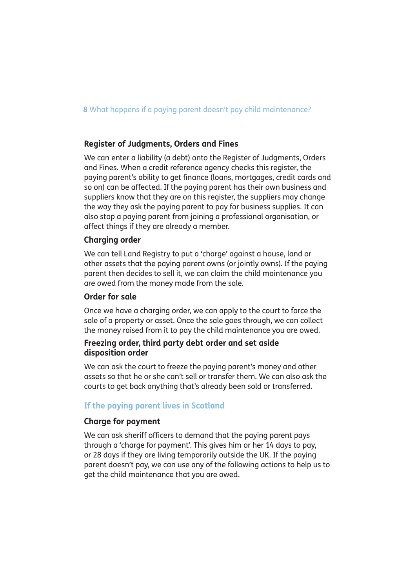#### **Register of Judgments, Orders and Fines**

We can enter a liability (a debt) onto the Register of Judgments, Orders and Fines. When a credit reference agency checks this register, the paying parent's ability to get finance (loans, mortgages, credit cards and so on) can be affected. If the paying parent has their own business and suppliers know that they are on this register, the suppliers may change the way they ask the paying parent to pay for business supplies. It can also stop a paying parent from joining a professional organisation, or affect things if they are already a member.

#### **Charging order**

We can tell Land Registry to put a 'charge' against a house, land or other assets that the paying parent owns (or jointly owns). If the paying parent then decides to sell it, we can claim the child maintenance you are owed from the money made from the sale.

#### **Order for sale**

Once we have a charging order, we can apply to the court to force the sale of a property or asset. Once the sale goes through, we can collect the money raised from it to pay the child maintenance you are owed.

#### **Freezing order, third party debt order and set aside disposition order**

We can ask the court to freeze the paying parent's money and other assets so that he or she can't sell or transfer them. We can also ask the courts to get back anything that's already been sold or transferred.

#### **If the paying parent lives in Scotland**

#### **Charge for payment**

We can ask sheriff officers to demand that the paying parent pays through a 'charge for payment'. This gives him or her 14 days to pay, or 28 days if they are living temporarily outside the UK. If the paying parent doesn't pay, we can use any of the following actions to help us to get the child maintenance that you are owed.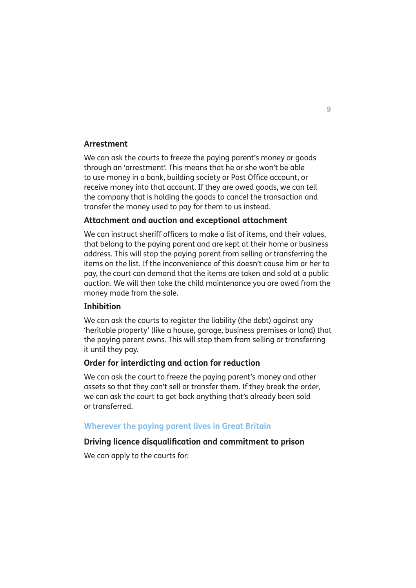#### **Arrestment**

We can ask the courts to freeze the paying parent's money or goods through an 'arrestment'. This means that he or she won't be able to use money in a bank, building society or Post Office account, or receive money into that account. If they are owed goods, we can tell the company that is holding the goods to cancel the transaction and transfer the money used to pay for them to us instead.

#### **Attachment and auction and exceptional attachment**

We can instruct sheriff officers to make a list of items, and their values, that belong to the paying parent and are kept at their home or business address. This will stop the paying parent from selling or transferring the items on the list. If the inconvenience of this doesn't cause him or her to pay, the court can demand that the items are taken and sold at a public auction. We will then take the child maintenance you are owed from the money made from the sale.

#### **Inhibition**

We can ask the courts to register the liability (the debt) against any 'heritable property' (like a house, garage, business premises or land) that the paying parent owns. This will stop them from selling or transferring it until they pay.

#### **Order for interdicting and action for reduction**

We can ask the court to freeze the paying parent's money and other assets so that they can't sell or transfer them. If they break the order, we can ask the court to get back anything that's already been sold or transferred.

#### **Wherever the paying parent lives in Great Britain**

#### **Driving licence disqualification and commitment to prison**

We can apply to the courts for: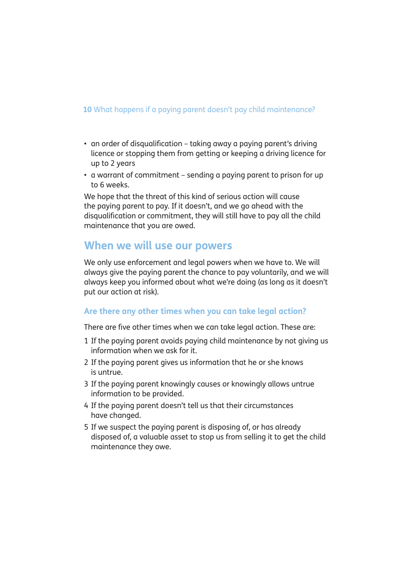- an order of disauglification taking away a paying parent's driving licence or stopping them from getting or keeping a driving licence for up to 2 years
- a warrant of commitment sending a paying parent to prison for up to 6 weeks.

We hope that the threat of this kind of serious action will cause the paying parent to pay. If it doesn't, and we go ahead with the disqualification or commitment, they will still have to pay all the child maintenance that you are owed.

### **When we will use our powers**

We only use enforcement and legal powers when we have to. We will always give the paying parent the chance to pay voluntarily, and we will always keep you informed about what we're doing (as long as it doesn't put our action at risk).

#### **Are there any other times when you can take legal action?**

There are five other times when we can take legal action. These are:

- 1 If the paying parent avoids paying child maintenance by not giving us information when we ask for it.
- 2 If the paying parent gives us information that he or she knows is untrue.
- 3 If the paying parent knowingly causes or knowingly allows untrue information to be provided.
- 4 If the paying parent doesn't tell us that their circumstances have changed.
- 5 If we suspect the paying parent is disposing of, or has already disposed of, a valuable asset to stop us from selling it to get the child maintenance they owe.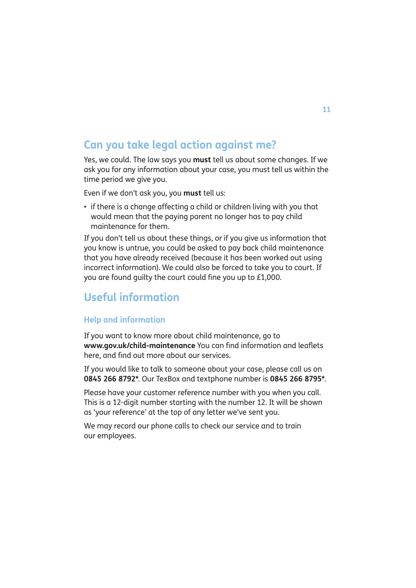# **Can you take legal action against me?**

Yes, we could. The law says you **must** tell us about some changes. If we ask you for any information about your case, you must tell us within the time period we give you.

Even if we don't ask you, you **must** tell us:

• if there is a change affecting a child or children living with you that would mean that the paying parent no longer has to pay child maintenance for them.

If you don't tell us about these things, or if you give us information that you know is untrue, you could be asked to pay back child maintenance that you have already received (because it has been worked out using incorrect information). We could also be forced to take you to court. If you are found guilty the court could fine you up to £1,000.

# **Useful information**

#### **Help and information**

If you want to know more about child maintenance, go to **www.gov.uk/child-maintenance** You can find information and leaflets here, and find out more about our services.

If you would like to talk to someone about your case, please call us on **0845 266 8792\***. Our TexBox and textphone number is **0845 266 8795\***.

Please have your customer reference number with you when you call. This is a 12-digit number starting with the number 12. It will be shown as 'your reference' at the top of any letter we've sent you.

We may record our phone calls to check our service and to train our employees.